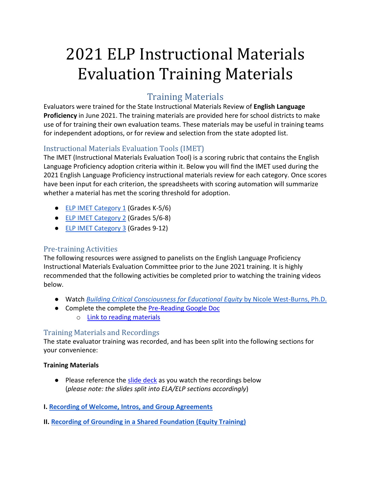# 2021 ELP Instructional Materials Evaluation Training Materials

# Training Materials

Evaluators were trained for the State Instructional Materials Review of **English Language Proficiency** in June 2021. The training materials are provided here for school districts to make use of for training their own evaluation teams. These materials may be useful in training teams for independent adoptions, or for review and selection from the state adopted list.

## Instructional Materials Evaluation Tools (IMET)

The IMET (Instructional Materials Evaluation Tool) is a scoring rubric that contains the English Language Proficiency adoption criteria within it. Below you will find the IMET used during the 2021 English Language Proficiency instructional materials review for each category. Once scores have been input for each criterion, the spreadsheets with scoring automation will summarize whether a material has met the scoring threshold for adoption.

- [ELP IMET Category 1](https://www.oregon.gov/ode/educator-resources/teachingcontent/instructional-materials/Documents/2021%20Notice%204/Category%201%20ELP%20IMET%20with%20formulas.xlsx) (Grades K-5/6)
- **[ELP IMET Category 2](https://www.oregon.gov/ode/educator-resources/teachingcontent/instructional-materials/Documents/2021%20Notice%204/Category%202%20ELP%20IMET%20with%20formulas.xlsx) (Grades 5/6-8)**
- [ELP IMET Category 3](https://www.oregon.gov/ode/educator-resources/teachingcontent/instructional-materials/Documents/2021%20Notice%204/Category%203%20ELP%20IMET%20with%20formulas.xlsx) (Grades 9-12)

### Pre-training Activities

The following resources were assigned to panelists on the English Language Proficiency Instructional Materials Evaluation Committee prior to the June 2021 training. It is highly recommended that the following activities be completed prior to watching the training videos below.

- Watch *[Building Critical Consciousness for Educational Equity](https://www.youtube.com/watch?v=evndCfQ92s4)* [by Nicole West-Burns, Ph.D.](https://www.youtube.com/watch?v=evndCfQ92s4)
- Complete the complete the [Pre-Reading Google Doc](https://docs.google.com/document/d/18K0LKTimANtLFADbTzEynGSxlo8kv1Z_/copy) o [Link to reading materials](https://blogs.lanecc.edu/engaging-diversity/wp-content/uploads/sites/76/2015/02/Privilege-Oppression-and-Difference.pdf)

### Training Materials and Recordings

The state evaluator training was recorded, and has been split into the following sections for your convenience:

#### **Training Materials**

● Please reference the [slide deck](https://www.oregon.gov/ode/educator-resources/teachingcontent/instructional-materials/Documents/2021%20Instructional%20Materials%20Evaluator%20Training%20Slide%20Deck.pdf) as you watch the recordings below (*please note: the slides split into ELA/ELP sections accordingly*)

#### **I. [Recording of Welcome, Intros, and Group Agreements](https://youtu.be/_9E4fIhnAe8)**

**II. [Recording of Grounding in a Shared Foundation \(Equity Training\)](https://youtu.be/Ef1V3_XZ2aw)**